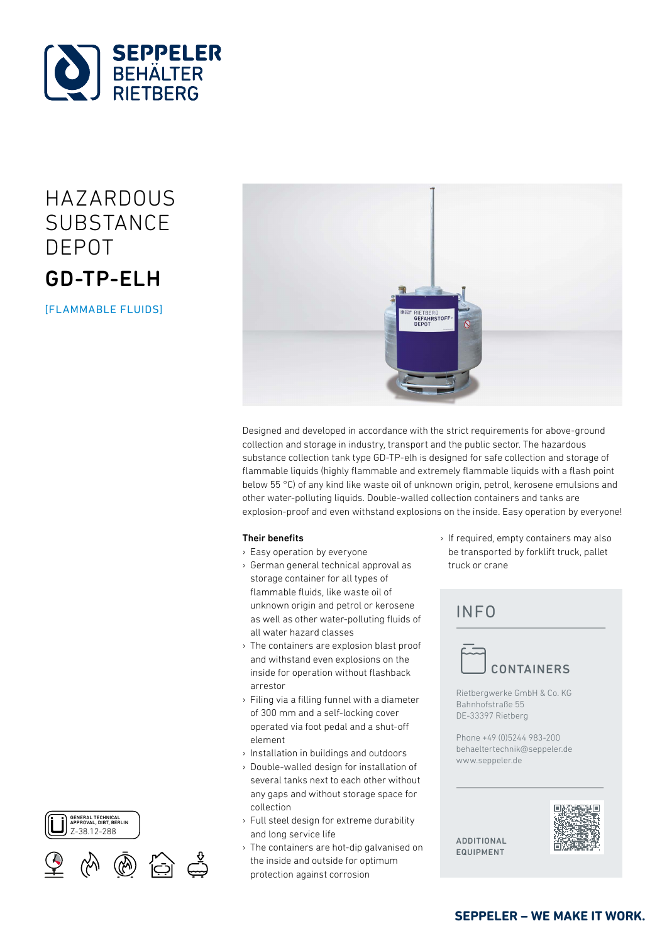

# HAZARDOUS **SUBSTANCE** DEPOT GD-TP-ELH

[FLAMMABLE FLUIDS]



Designed and developed in accordance with the strict requirements for above-ground collection and storage in industry, transport and the public sector. The hazardous substance collection tank type GD-TP-elh is designed for safe collection and storage of flammable liquids (highly flammable and extremely flammable liquids with a flash point below 55 °C) of any kind like waste oil of unknown origin, petrol, kerosene emulsions and other water-polluting liquids. Double-walled collection containers and tanks are explosion-proof and even withstand explosions on the inside. Easy operation by everyone!

### Their benefits

- › Easy operation by everyone
- › German general technical approval as storage container for all types of flammable fluids, like waste oil of unknown origin and petrol or kerosene as well as other water-polluting fluids of all water hazard classes
- › The containers are explosion blast proof and withstand even explosions on the inside for operation without flashback arrestor
- › Filing via a filling funnel with a diameter of 300 mm and a self-locking cover operated via foot pedal and a shut-off element
- › Installation in buildings and outdoors
- › Double-walled design for installation of several tanks next to each other without any gaps and without storage space for collection
- › Full steel design for extreme durability and long service life
- › The containers are hot-dip galvanised on the inside and outside for optimum protection against corrosion

› If required, empty containers may also be transported by forklift truck, pallet truck or crane

## **INFO**



Rietbergwerke GmbH & Co. KG Bahnhofstraße 55 DE-33397 Rietberg

Phone +49 (0)5244 983-200 behaeltertechnik@seppeler.de www.seppeler.de

additional equipment